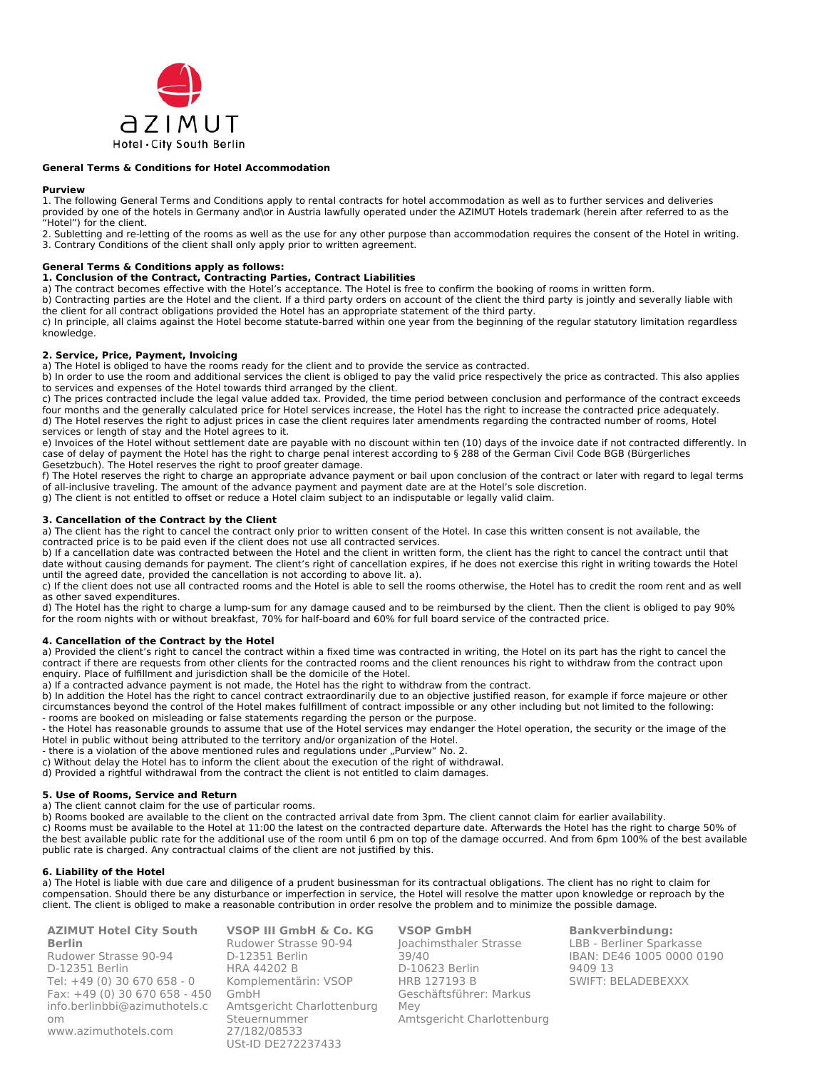

### **General Terms & Conditions for Hotel Accommodation**

### **Purview**

1. The following General Terms and Conditions apply to rental contracts for hotel accommodation as well as to further services and deliveries provided by one of the hotels in Germany and\or in Austria lawfully operated under the AZIMUT Hotels trademark (herein after referred to as the "Hotel") for the client.

2. Subletting and re-letting of the rooms as well as the use for any other purpose than accommodation requires the consent of the Hotel in writing. 3. Contrary Conditions of the client shall only apply prior to written agreement.

# **General Terms & Conditions apply as follows:**

### **1. Conclusion of the Contract, Contracting Parties, Contract Liabilities**

a) The contract becomes effective with the Hotel's acceptance. The Hotel is free to confirm the booking of rooms in written form.

b) Contracting parties are the Hotel and the client. If a third party orders on account of the client the third party is jointly and severally liable with the client for all contract obligations provided the Hotel has an appropriate statement of the third party.

c) In principle, all claims against the Hotel become statute-barred within one year from the beginning of the regular statutory limitation regardless knowledge.

### **2. Service, Price, Payment, Invoicing**

a) The Hotel is obliged to have the rooms ready for the client and to provide the service as contracted.

b) In order to use the room and additional services the client is obliged to pay the valid price respectively the price as contracted. This also applies to services and expenses of the Hotel towards third arranged by the client.

c) The prices contracted include the legal value added tax. Provided, the time period between conclusion and performance of the contract exceeds four months and the generally calculated price for Hotel services increase, the Hotel has the right to increase the contracted price adequately. d) The Hotel reserves the right to adjust prices in case the client requires later amendments regarding the contracted number of rooms, Hotel services or length of stay and the Hotel agrees to it.

e) Invoices of the Hotel without settlement date are payable with no discount within ten (10) days of the invoice date if not contracted differently. In case of delay of payment the Hotel has the right to charge penal interest according to § 288 of the German Civil Code BGB (Bürgerliches Gesetzbuch). The Hotel reserves the right to proof greater damage.

f) The Hotel reserves the right to charge an appropriate advance payment or bail upon conclusion of the contract or later with regard to legal terms of all-inclusive traveling. The amount of the advance payment and payment date are at the Hotel's sole discretion.

g) The client is not entitled to offset or reduce a Hotel claim subject to an indisputable or legally valid claim.

## **3. Cancellation of the Contract by the Client**

a) The client has the right to cancel the contract only prior to written consent of the Hotel. In case this written consent is not available, the contracted price is to be paid even if the client does not use all contracted services.

b) If a cancellation date was contracted between the Hotel and the client in written form, the client has the right to cancel the contract until that date without causing demands for payment. The client's right of cancellation expires, if he does not exercise this right in writing towards the Hotel until the agreed date, provided the cancellation is not according to above lit. a).

c) If the client does not use all contracted rooms and the Hotel is able to sell the rooms otherwise, the Hotel has to credit the room rent and as well as other saved expenditures.

d) The Hotel has the right to charge a lump-sum for any damage caused and to be reimbursed by the client. Then the client is obliged to pay 90% for the room nights with or without breakfast, 70% for half-board and 60% for full board service of the contracted price.

### **4. Cancellation of the Contract by the Hotel**

a) Provided the client's right to cancel the contract within a fixed time was contracted in writing, the Hotel on its part has the right to cancel the contract if there are requests from other clients for the contracted rooms and the client renounces his right to withdraw from the contract upon enquiry. Place of fulfillment and jurisdiction shall be the domicile of the Hotel.

a) If a contracted advance payment is not made, the Hotel has the right to withdraw from the contract.

b) In addition the Hotel has the right to cancel contract extraordinarily due to an objective justified reason, for example if force majeure or other circumstances beyond the control of the Hotel makes fulfillment of contract impossible or any other including but not limited to the following: - rooms are booked on misleading or false statements regarding the person or the purpose.

- the Hotel has reasonable grounds to assume that use of the Hotel services may endanger the Hotel operation, the security or the image of the Hotel in public without being attributed to the territory and/or organization of the Hotel.

- there is a violation of the above mentioned rules and regulations under "Purview" No. 2.

c) Without delay the Hotel has to inform the client about the execution of the right of withdrawal.

d) Provided a rightful withdrawal from the contract the client is not entitled to claim damages.

# **5. Use of Rooms, Service and Return**

a) The client cannot claim for the use of particular rooms.

b) Rooms booked are available to the client on the contracted arrival date from 3pm. The client cannot claim for earlier availability. c) Rooms must be available to the Hotel at 11:00 the latest on the contracted departure date. Afterwards the Hotel has the right to charge 50% of

the best available public rate for the additional use of the room until 6 pm on top of the damage occurred. And from 6pm 100% of the best available public rate is charged. Any contractual claims of the client are not justified by this.

# **6. Liability of the Hotel**

a) The Hotel is liable with due care and diligence of a prudent businessman for its contractual obligations. The client has no right to claim for compensation. Should there be any disturbance or imperfection in service, the Hotel will resolve the matter upon knowledge or reproach by the client. The client is obliged to make a reasonable contribution in order resolve the problem and to minimize the possible damage.

**AZIMUT Hotel City South Berlin**  Rudower Strasse 90-94 D-12351 Berlin Tel: +49 (0) 30 670 658 - 0 Fax: +49 (0) 30 670 658 - 450 [info.berlinbbi@azimuthotels.c](mailto:info.berlinbbi@azimuthotels.com) [om](mailto:info.berlinbbi@azimuthotels.com) [www.azimuthotels.com](http://www.azimuthotels.com/)

**VSOP III GmbH & Co. KG** Rudower Strasse 90-94 D-12351 Berlin HRA 44202 B Komplementärin: VSOP GmbH Amtsgericht Charlottenburg Steuernummer 27/182/08533 USt-ID DE272237433

**VSOP GmbH** Joachimsthaler Strasse 39/40 D-10623 Berlin HRB 127193 B Geschäftsführer: Markus Mey Amtsgericht Charlottenburg

**Bankverbindung:** LBB - Berliner Sparkasse IBAN: DE46 1005 0000 0190 9409 13 SWIFT: BELADEBEXXX